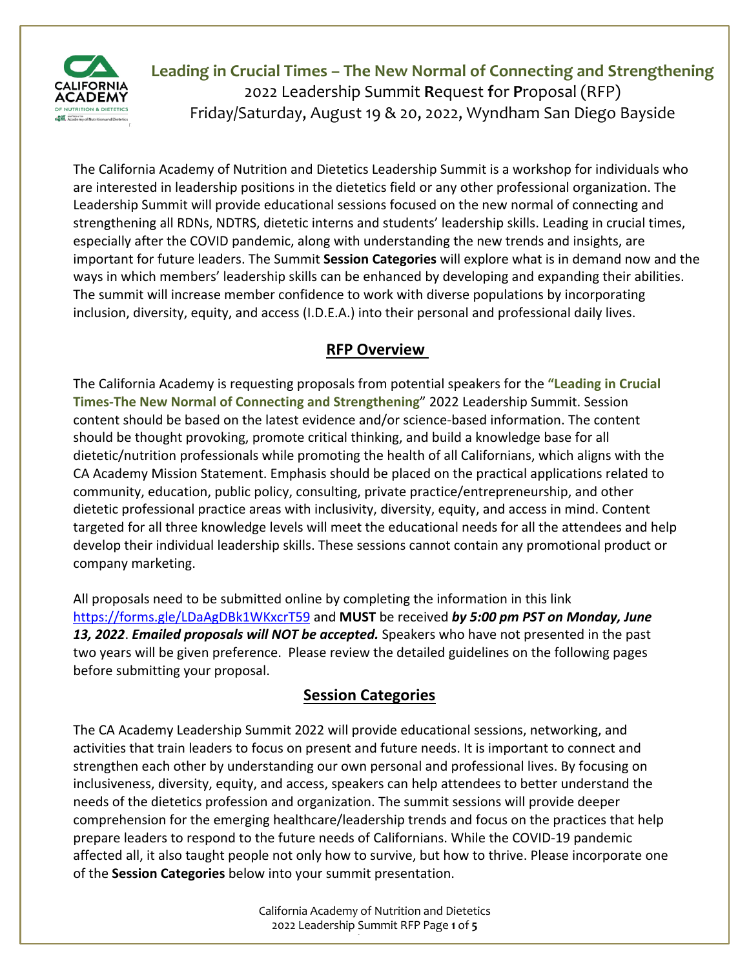

The California Academy of Nutrition and Dietetics Leadership Summit is a workshop for individuals who are interested in leadership positions in the dietetics field or any other professional organization. The Leadership Summit will provide educational sessions focused on the new normal of connecting and strengthening all RDNs, NDTRS, dietetic interns and students' leadership skills. Leading in crucial times, especially after the COVID pandemic, along with understanding the new trends and insights, are important for future leaders. The Summit **Session Categories** will explore what is in demand now and the ways in which members' leadership skills can be enhanced by developing and expanding their abilities. The summit will increase member confidence to work with diverse populations by incorporating inclusion, diversity, equity, and access (I.D.E.A.) into their personal and professional daily lives.

### **RFP Overview**

The California Academy is requesting proposals from potential speakers for the **"Leading in Crucial Times-The New Normal of Connecting and Strengthening**" 2022 Leadership Summit. Session content should be based on the latest evidence and/or science-based information. The content should be thought provoking, promote critical thinking, and build a knowledge base for all dietetic/nutrition professionals while promoting the health of all Californians, which aligns with the CA Academy Mission Statement. Emphasis should be placed on the practical applications related to community, education, public policy, consulting, private practice/entrepreneurship, and other dietetic professional practice areas with inclusivity, diversity, equity, and access in mind. Content targeted for all three knowledge levels will meet the educational needs for all the attendees and help develop their individual leadership skills. These sessions cannot contain any promotional product or company marketing.

All proposals need to be submitted online by completing the information in this link https://forms.gle/LDaAgDBk1WKxcrT59 and **MUST** be received *by 5:00 pm PST on Monday, June 13, 2022*. *Emailed proposals will NOT be accepted.* Speakers who have not presented in the past two years will be given preference. Please review the detailed guidelines on the following pages before submitting your proposal.

### **Session Categories**

The CA Academy Leadership Summit 2022 will provide educational sessions, networking, and activities that train leaders to focus on present and future needs. It is important to connect and strengthen each other by understanding our own personal and professional lives. By focusing on inclusiveness, diversity, equity, and access, speakers can help attendees to better understand the needs of the dietetics profession and organization. The summit sessions will provide deeper comprehension for the emerging healthcare/leadership trends and focus on the practices that help prepare leaders to respond to the future needs of Californians. While the COVID-19 pandemic affected all, it also taught people not only how to survive, but how to thrive. Please incorporate one of the **Session Categories** below into your summit presentation.

> California Academy of Nutrition and Dietetics 2022 Leadership Summit RFP Page **1** of **5** RFP | Page **1** of **5**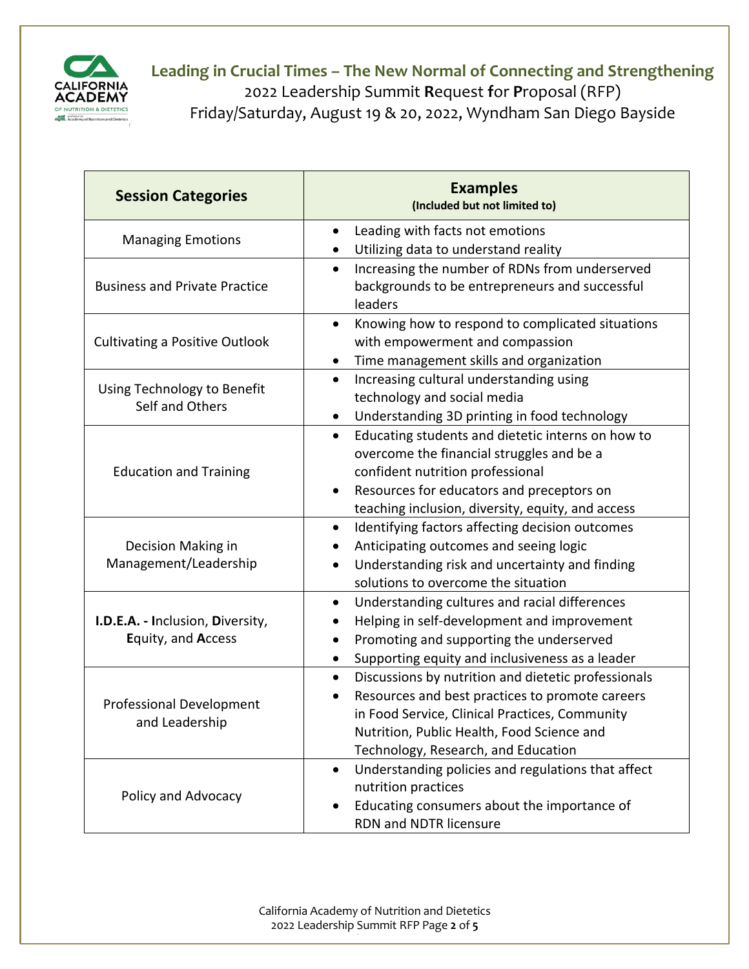

| <b>Session Categories</b>                              | <b>Examples</b><br>(Included but not limited to)                                                                                                                                                                                                               |
|--------------------------------------------------------|----------------------------------------------------------------------------------------------------------------------------------------------------------------------------------------------------------------------------------------------------------------|
| <b>Managing Emotions</b>                               | Leading with facts not emotions<br>$\bullet$                                                                                                                                                                                                                   |
|                                                        | Utilizing data to understand reality<br>$\bullet$                                                                                                                                                                                                              |
| <b>Business and Private Practice</b>                   | Increasing the number of RDNs from underserved<br>$\bullet$<br>backgrounds to be entrepreneurs and successful<br>leaders                                                                                                                                       |
| <b>Cultivating a Positive Outlook</b>                  | Knowing how to respond to complicated situations<br>$\bullet$<br>with empowerment and compassion<br>Time management skills and organization<br>$\bullet$                                                                                                       |
| Using Technology to Benefit<br>Self and Others         | Increasing cultural understanding using<br>$\bullet$<br>technology and social media<br>Understanding 3D printing in food technology<br>$\bullet$                                                                                                               |
| <b>Education and Training</b>                          | Educating students and dietetic interns on how to<br>$\bullet$<br>overcome the financial struggles and be a<br>confident nutrition professional<br>Resources for educators and preceptors on<br>$\bullet$<br>teaching inclusion, diversity, equity, and access |
| Decision Making in<br>Management/Leadership            | Identifying factors affecting decision outcomes<br>$\bullet$<br>Anticipating outcomes and seeing logic<br>Understanding risk and uncertainty and finding<br>$\bullet$<br>solutions to overcome the situation                                                   |
| I.D.E.A. - Inclusion, Diversity,<br>Equity, and Access | Understanding cultures and racial differences<br>$\bullet$<br>Helping in self-development and improvement<br>Promoting and supporting the underserved<br>$\bullet$<br>Supporting equity and inclusiveness as a leader<br>$\bullet$                             |
| <b>Professional Development</b><br>and Leadership      | Discussions by nutrition and dietetic professionals<br>$\bullet$<br>Resources and best practices to promote careers<br>in Food Service, Clinical Practices, Community<br>Nutrition, Public Health, Food Science and<br>Technology, Research, and Education     |
| Policy and Advocacy                                    | Understanding policies and regulations that affect<br>$\bullet$<br>nutrition practices<br>Educating consumers about the importance of<br>٠<br>RDN and NDTR licensure                                                                                           |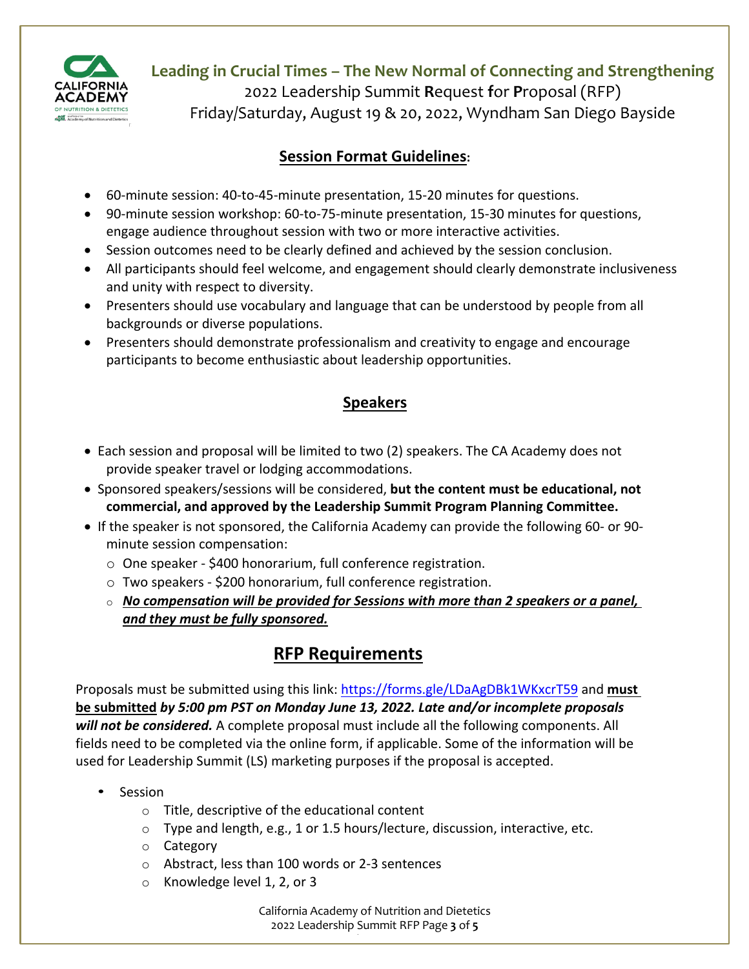

**Leading in Crucial Times – The New Normal of Connecting and Strengthening**

2022 Leadership Summit **R**equest **f**or **P**roposal (RFP)

Friday/Saturday, August 19 & 20, 2022, Wyndham San Diego Bayside

### **Session Format Guidelines:**

- 60-minute session: 40-to-45-minute presentation, 15-20 minutes for questions.
- 90-minute session workshop: 60-to-75-minute presentation, 15-30 minutes for questions, engage audience throughout session with two or more interactive activities.
- Session outcomes need to be clearly defined and achieved by the session conclusion.
- All participants should feel welcome, and engagement should clearly demonstrate inclusiveness and unity with respect to diversity.
- Presenters should use vocabulary and language that can be understood by people from all backgrounds or diverse populations.
- Presenters should demonstrate professionalism and creativity to engage and encourage participants to become enthusiastic about leadership opportunities.

### **Speakers**

- Each session and proposal will be limited to two (2) speakers. The CA Academy does not provide speaker travel or lodging accommodations.
- Sponsored speakers/sessions will be considered, **but the content must be educational, not commercial, and approved by the Leadership Summit Program Planning Committee.**
- If the speaker is not sponsored, the California Academy can provide the following 60- or 90 minute session compensation:
	- o One speaker \$400 honorarium, full conference registration.
	- o Two speakers \$200 honorarium, full conference registration.
	- o *No compensation will be provided for Sessions with more than 2 speakers or a panel, and they must be fully sponsored.*

# **RFP Requirements**

Proposals must be submitted using this link: https://forms.gle/LDaAgDBk1WKxcrT59 and **must be submitted** *by 5:00 pm PST on Monday June 13, 2022. Late and/or incomplete proposals will not be considered.* A complete proposal must include all the following components. All fields need to be completed via the online form, if applicable. Some of the information will be used for Leadership Summit (LS) marketing purposes if the proposal is accepted.

- Session
	- o Title, descriptive of the educational content
	- o Type and length, e.g., 1 or 1.5 hours/lecture, discussion, interactive, etc.
	- o Category
	- o Abstract, less than 100 words or 2-3 sentences
	- o Knowledge level 1, 2, or 3

California Academy of Nutrition and Dietetics 2022 Leadership Summit RFP Page **3** of **5** RFP | Page **3** of **5**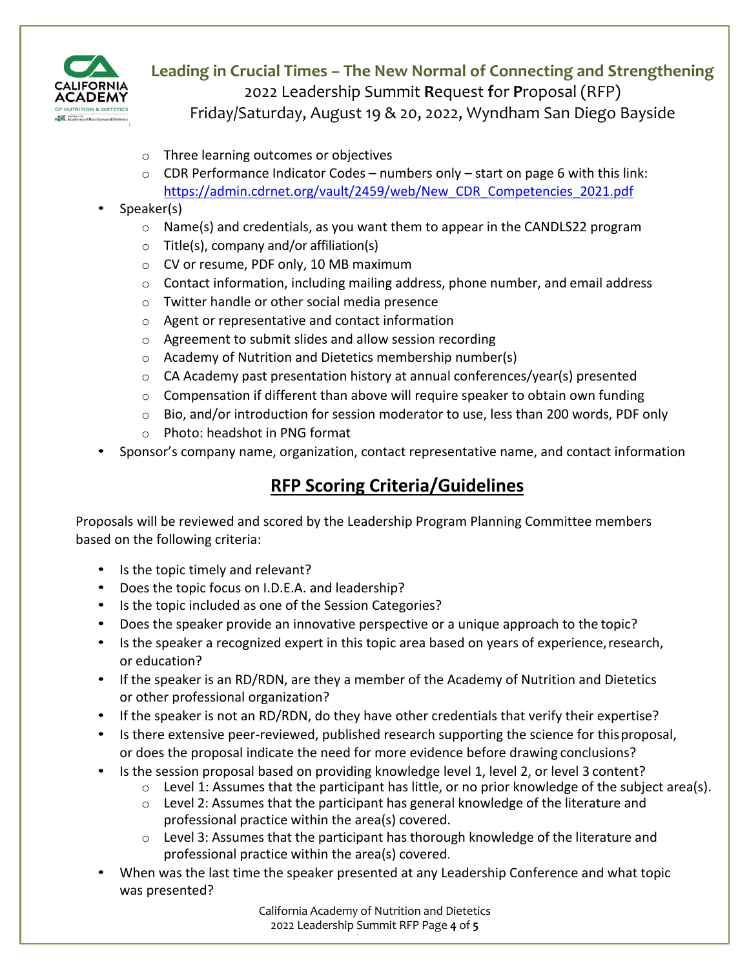

- o Three learning outcomes or objectives
- $\circ$  CDR Performance Indicator Codes numbers only start on page 6 with this link: https://admin.cdrnet.org/vault/2459/web/New\_CDR\_Competencies\_2021.pdf

#### • Speaker(s)

- $\circ$  Name(s) and credentials, as you want them to appear in the CANDLS22 program
- $\circ$  Title(s), company and/or affiliation(s)
- o CV or resume, PDF only, 10 MB maximum
- $\circ$  Contact information, including mailing address, phone number, and email address
- o Twitter handle or other social media presence
- o Agent or representative and contact information
- o Agreement to submit slides and allow session recording
- o Academy of Nutrition and Dietetics membership number(s)
- o CA Academy past presentation history at annual conferences/year(s) presented
- $\circ$  Compensation if different than above will require speaker to obtain own funding
- $\circ$  Bio, and/or introduction for session moderator to use, less than 200 words, PDF only
- o Photo: headshot in PNG format
- Sponsor's company name, organization, contact representative name, and contact information

## **RFP Scoring Criteria/Guidelines**

Proposals will be reviewed and scored by the Leadership Program Planning Committee members based on the following criteria:

- Is the topic timely and relevant?
- Does the topic focus on I.D.E.A. and leadership?
- Is the topic included as one of the Session Categories?
- Does the speaker provide an innovative perspective or a unique approach to the topic?
- Is the speaker a recognized expert in this topic area based on years of experience, research, or education?
- If the speaker is an RD/RDN, are they a member of the Academy of Nutrition and Dietetics or other professional organization?
- If the speaker is not an RD/RDN, do they have other credentials that verify their expertise?
- Is there extensive peer-reviewed, published research supporting the science for thisproposal, or does the proposal indicate the need for more evidence before drawing conclusions?
- Is the session proposal based on providing knowledge level 1, level 2, or level 3 content?
	- o Level 1: Assumes that the participant has little, or no prior knowledge of the subject area(s).
	- $\circ$  Level 2: Assumes that the participant has general knowledge of the literature and professional practice within the area(s) covered.
	- $\circ$  Level 3: Assumes that the participant has thorough knowledge of the literature and professional practice within the area(s) covered.
- When was the last time the speaker presented at any Leadership Conference and what topic was presented?

California Academy of Nutrition and Dietetics 2022 Leadership Summit RFP Page **4** of **5** RFP | Page **4** of **5**